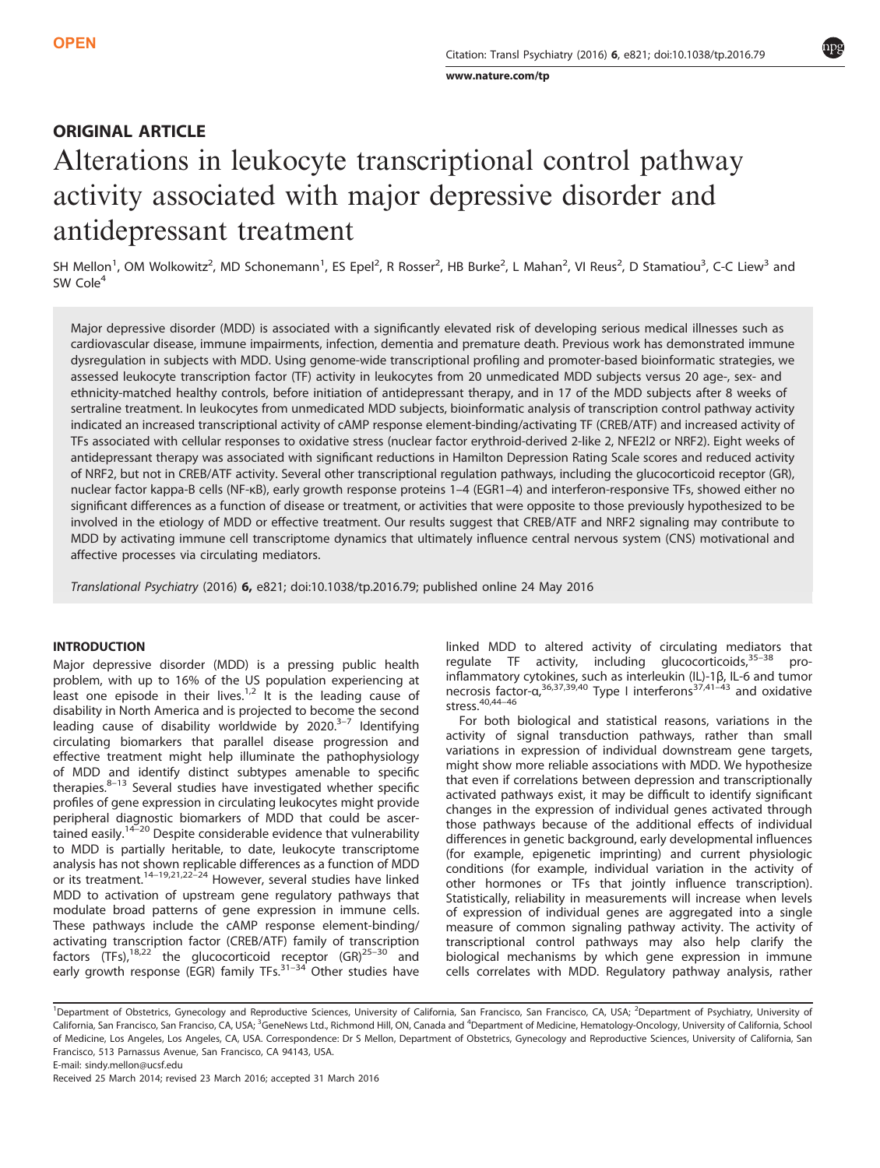www.nature.com/tp

# ORIGINAL ARTICLE

# Alterations in leukocyte transcriptional control pathway activity associated with major depressive disorder and antidepressant treatment

SH Mellon<sup>1</sup>, OM Wolkowitz<sup>2</sup>, MD Schonemann<sup>1</sup>, ES Epel<sup>2</sup>, R Rosser<sup>2</sup>, HB Burke<sup>2</sup>, L Mahan<sup>2</sup>, VI Reus<sup>2</sup>, D Stamatiou<sup>3</sup>, C-C Liew<sup>3</sup> and SW Cole<sup>4</sup>

Major depressive disorder (MDD) is associated with a significantly elevated risk of developing serious medical illnesses such as cardiovascular disease, immune impairments, infection, dementia and premature death. Previous work has demonstrated immune dysregulation in subjects with MDD. Using genome-wide transcriptional profiling and promoter-based bioinformatic strategies, we assessed leukocyte transcription factor (TF) activity in leukocytes from 20 unmedicated MDD subjects versus 20 age-, sex- and ethnicity-matched healthy controls, before initiation of antidepressant therapy, and in 17 of the MDD subjects after 8 weeks of sertraline treatment. In leukocytes from unmedicated MDD subjects, bioinformatic analysis of transcription control pathway activity indicated an increased transcriptional activity of cAMP response element-binding/activating TF (CREB/ATF) and increased activity of TFs associated with cellular responses to oxidative stress (nuclear factor erythroid-derived 2-like 2, NFE2l2 or NRF2). Eight weeks of antidepressant therapy was associated with significant reductions in Hamilton Depression Rating Scale scores and reduced activity of NRF2, but not in CREB/ATF activity. Several other transcriptional regulation pathways, including the glucocorticoid receptor (GR), nuclear factor kappa-B cells (NF-κB), early growth response proteins 1–4 (EGR1–4) and interferon-responsive TFs, showed either no significant differences as a function of disease or treatment, or activities that were opposite to those previously hypothesized to be involved in the etiology of MDD or effective treatment. Our results suggest that CREB/ATF and NRF2 signaling may contribute to MDD by activating immune cell transcriptome dynamics that ultimately influence central nervous system (CNS) motivational and affective processes via circulating mediators.

Translational Psychiatry (2016) 6, e821; doi:10.1038/tp.2016.79; published online 24 May 2016

# INTRODUCTION

Major depressive disorder (MDD) is a pressing public health problem, with up to 16% of the US population experiencing at least one episode in their lives.<sup>1,2</sup> It is the leading cause of disability in North America and is projected to become the second leading cause of disability worldwide by  $2020.^{3-7}$  Identifying circulating biomarkers that parallel disease progression and effective treatment might help illuminate the pathophysiology of MDD and identify distinct subtypes amenable to specific therapies.<sup>8-13</sup> Several studies have investigated whether specific profiles of gene expression in circulating leukocytes might provide peripheral diagnostic biomarkers of MDD that could be ascertained easily.<sup>14–20</sup> Despite considerable evidence that vulnerability to MDD is partially heritable, to date, leukocyte transcriptome analysis has not shown replicable differences as a function of MDD or its treatment.14–19,21,22–<sup>24</sup> However, several studies have linked MDD to activation of upstream gene regulatory pathways that modulate broad patterns of gene expression in immune cells. These pathways include the cAMP response element-binding/ activating transcription factor (CREB/ATF) family of transcription factors  $(TFs)$ ,<sup>18,22</sup> the glucocorticoid receptor  $(GR)^{25-30}$  and early growth response (EGR) family TFs.<sup>31-34</sup> Other studies have linked MDD to altered activity of circulating mediators that regulate TF activity, including glucocorticoids,<sup>35-38</sup> proinflammatory cytokines, such as interleukin (IL)-1β, IL-6 and tumor necrosis factor-α,<sup>36,37,39,40</sup> Type I interferons<sup>37,41-43</sup> and oxidative stress.40,44–<sup>46</sup>

For both biological and statistical reasons, variations in the activity of signal transduction pathways, rather than small variations in expression of individual downstream gene targets, might show more reliable associations with MDD. We hypothesize that even if correlations between depression and transcriptionally activated pathways exist, it may be difficult to identify significant changes in the expression of individual genes activated through those pathways because of the additional effects of individual differences in genetic background, early developmental influences (for example, epigenetic imprinting) and current physiologic conditions (for example, individual variation in the activity of other hormones or TFs that jointly influence transcription). Statistically, reliability in measurements will increase when levels of expression of individual genes are aggregated into a single measure of common signaling pathway activity. The activity of transcriptional control pathways may also help clarify the biological mechanisms by which gene expression in immune cells correlates with MDD. Regulatory pathway analysis, rather

<sup>&</sup>lt;sup>1</sup>Department of Obstetrics, Gynecology and Reproductive Sciences, University of California, San Francisco, San Francisco, CA, USA; <sup>2</sup>Department of Psychiatry, University of California, San Francisco, San Franciso, CA, USA; <sup>3</sup>GeneNews Ltd., Richmond Hill, ON, Canada and <sup>4</sup>Department of Medicine, Hematology-Oncology, University of California, School of Medicine, Los Angeles, Los Angeles, CA, USA. Correspondence: Dr S Mellon, Department of Obstetrics, Gynecology and Reproductive Sciences, University of California, San Francisco, 513 Parnassus Avenue, San Francisco, CA 94143, USA.

E-mail: sindy.mellon@ucsf.edu

Received 25 March 2014; revised 23 March 2016; accepted 31 March 2016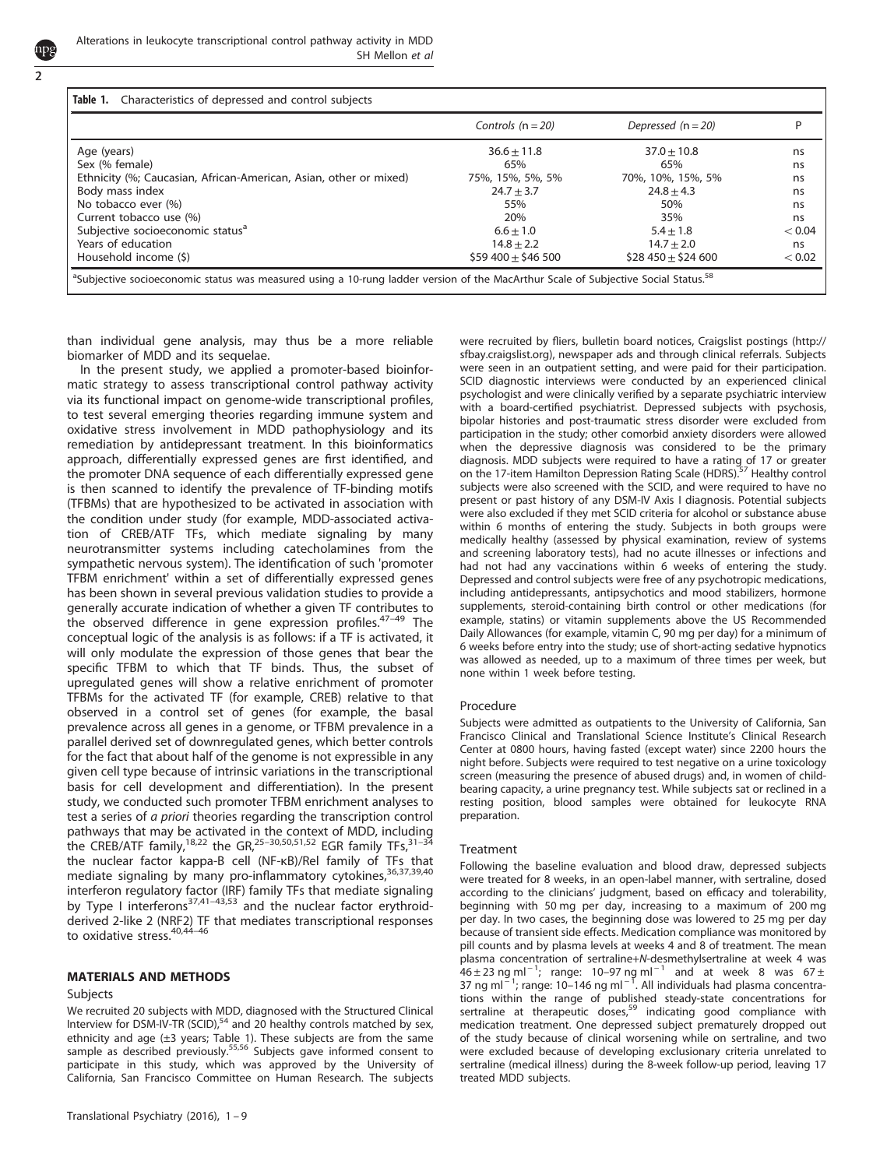|                                                                   | Controls $(n = 20)$ | Depressed $(n = 20)$ | P      |
|-------------------------------------------------------------------|---------------------|----------------------|--------|
| Age (years)                                                       | $36.6 + 11.8$       | $37.0 + 10.8$        | ns     |
| Sex (% female)                                                    | 65%                 | 65%                  | ns     |
| Ethnicity (%; Caucasian, African-American, Asian, other or mixed) | 75%, 15%, 5%, 5%    | 70%, 10%, 15%, 5%    | ns     |
| Body mass index                                                   | $24.7 + 3.7$        | $24.8 + 4.3$         | ns     |
| No tobacco ever (%)                                               | 55%                 | 50%                  | ns     |
| Current tobacco use (%)                                           | 20%                 | 35%                  | ns     |
| Subjective socioeconomic status <sup>a</sup>                      | $6.6 + 1.0$         | $5.4 + 1.8$          | < 0.04 |
| Years of education                                                | $14.8 + 2.2$        | $14.7 + 2.0$         | ns     |
| Household income (\$)                                             | $$59,400 + $46,500$ | $$28,450 + $24,600$  | < 0.02 |

than individual gene analysis, may thus be a more reliable biomarker of MDD and its sequelae.

In the present study, we applied a promoter-based bioinformatic strategy to assess transcriptional control pathway activity via its functional impact on genome-wide transcriptional profiles, to test several emerging theories regarding immune system and oxidative stress involvement in MDD pathophysiology and its remediation by antidepressant treatment. In this bioinformatics approach, differentially expressed genes are first identified, and the promoter DNA sequence of each differentially expressed gene is then scanned to identify the prevalence of TF-binding motifs (TFBMs) that are hypothesized to be activated in association with the condition under study (for example, MDD-associated activation of CREB/ATF TFs, which mediate signaling by many neurotransmitter systems including catecholamines from the sympathetic nervous system). The identification of such 'promoter TFBM enrichment' within a set of differentially expressed genes has been shown in several previous validation studies to provide a generally accurate indication of whether a given TF contributes to the observed difference in gene expression profiles. $47-49$  The conceptual logic of the analysis is as follows: if a TF is activated, it will only modulate the expression of those genes that bear the specific TFBM to which that TF binds. Thus, the subset of upregulated genes will show a relative enrichment of promoter TFBMs for the activated TF (for example, CREB) relative to that observed in a control set of genes (for example, the basal prevalence across all genes in a genome, or TFBM prevalence in a parallel derived set of downregulated genes, which better controls for the fact that about half of the genome is not expressible in any given cell type because of intrinsic variations in the transcriptional basis for cell development and differentiation). In the present study, we conducted such promoter TFBM enrichment analyses to test a series of a priori theories regarding the transcription control pathways that may be activated in the context of MDD, including<br>the CREB/ATF family,<sup>18,22</sup> the GR,<sup>25–30,50,51,52</sup> EGR family TFs,<sup>31–34</sup> the nuclear factor kappa-B cell (NF-κB)/Rel family of TFs that mediate signaling by many pro-inflammatory cytokines,<sup>36,37,39,40</sup> interferon regulatory factor (IRF) family TFs that mediate signaling by Type I interferons  $37,41-43,53$  and the nuclear factor erythroidderived 2-like 2 (NRF2) TF that mediates transcriptional responses to oxidative stress.<sup>40,44-46</sup>

# MATERIALS AND METHODS

#### Subjects

We recruited 20 subjects with MDD, diagnosed with the Structured Clinical Interview for DSM-IV-TR (SCID), $54$  and 20 healthy controls matched by sex, ethnicity and age  $(\pm 3$  years; Table 1). These subjects are from the same sample as described previously.<sup>55,56</sup> Subjects gave informed consent to participate in this study, which was approved by the University of California, San Francisco Committee on Human Research. The subjects were recruited by fliers, bulletin board notices, Craigslist postings (http:// sfbay.craigslist.org), newspaper ads and through clinical referrals. Subjects were seen in an outpatient setting, and were paid for their participation. SCID diagnostic interviews were conducted by an experienced clinical psychologist and were clinically verified by a separate psychiatric interview with a board-certified psychiatrist. Depressed subjects with psychosis, bipolar histories and post-traumatic stress disorder were excluded from participation in the study; other comorbid anxiety disorders were allowed when the depressive diagnosis was considered to be the primary diagnosis. MDD subjects were required to have a rating of 17 or greater<br>on the 17-item Hamilton Depression Rating Scale (HDRS).<sup>57</sup> Healthy control subjects were also screened with the SCID, and were required to have no present or past history of any DSM-IV Axis I diagnosis. Potential subjects were also excluded if they met SCID criteria for alcohol or substance abuse within 6 months of entering the study. Subjects in both groups were medically healthy (assessed by physical examination, review of systems and screening laboratory tests), had no acute illnesses or infections and had not had any vaccinations within 6 weeks of entering the study. Depressed and control subjects were free of any psychotropic medications, including antidepressants, antipsychotics and mood stabilizers, hormone supplements, steroid-containing birth control or other medications (for example, statins) or vitamin supplements above the US Recommended Daily Allowances (for example, vitamin C, 90 mg per day) for a minimum of 6 weeks before entry into the study; use of short-acting sedative hypnotics was allowed as needed, up to a maximum of three times per week, but none within 1 week before testing.

#### Procedure

Subjects were admitted as outpatients to the University of California, San Francisco Clinical and Translational Science Institute's Clinical Research Center at 0800 hours, having fasted (except water) since 2200 hours the night before. Subjects were required to test negative on a urine toxicology screen (measuring the presence of abused drugs) and, in women of childbearing capacity, a urine pregnancy test. While subjects sat or reclined in a resting position, blood samples were obtained for leukocyte RNA preparation.

#### Treatment

Following the baseline evaluation and blood draw, depressed subjects were treated for 8 weeks, in an open-label manner, with sertraline, dosed according to the clinicians' judgment, based on efficacy and tolerability, beginning with 50 mg per day, increasing to a maximum of 200 mg per day. In two cases, the beginning dose was lowered to 25 mg per day because of transient side effects. Medication compliance was monitored by pill counts and by plasma levels at weeks 4 and 8 of treatment. The mean plasma concentration of sertraline+N-desmethylsertraline at week 4 was  $46 \pm 23$  ng ml<sup>-1</sup>; range: 10–97 ng ml<sup>-1</sup> and at week 8 was 67 ± 37 ng ml<sup>-1</sup>; range: 10-146 ng ml<sup>-1</sup>. All individuals had plasma concentrations within the range of published steady-state concentrations for sertraline at therapeutic doses,<sup>59</sup> indicating good compliance with medication treatment. One depressed subject prematurely dropped out of the study because of clinical worsening while on sertraline, and two were excluded because of developing exclusionary criteria unrelated to sertraline (medical illness) during the 8-week follow-up period, leaving 17 treated MDD subjects.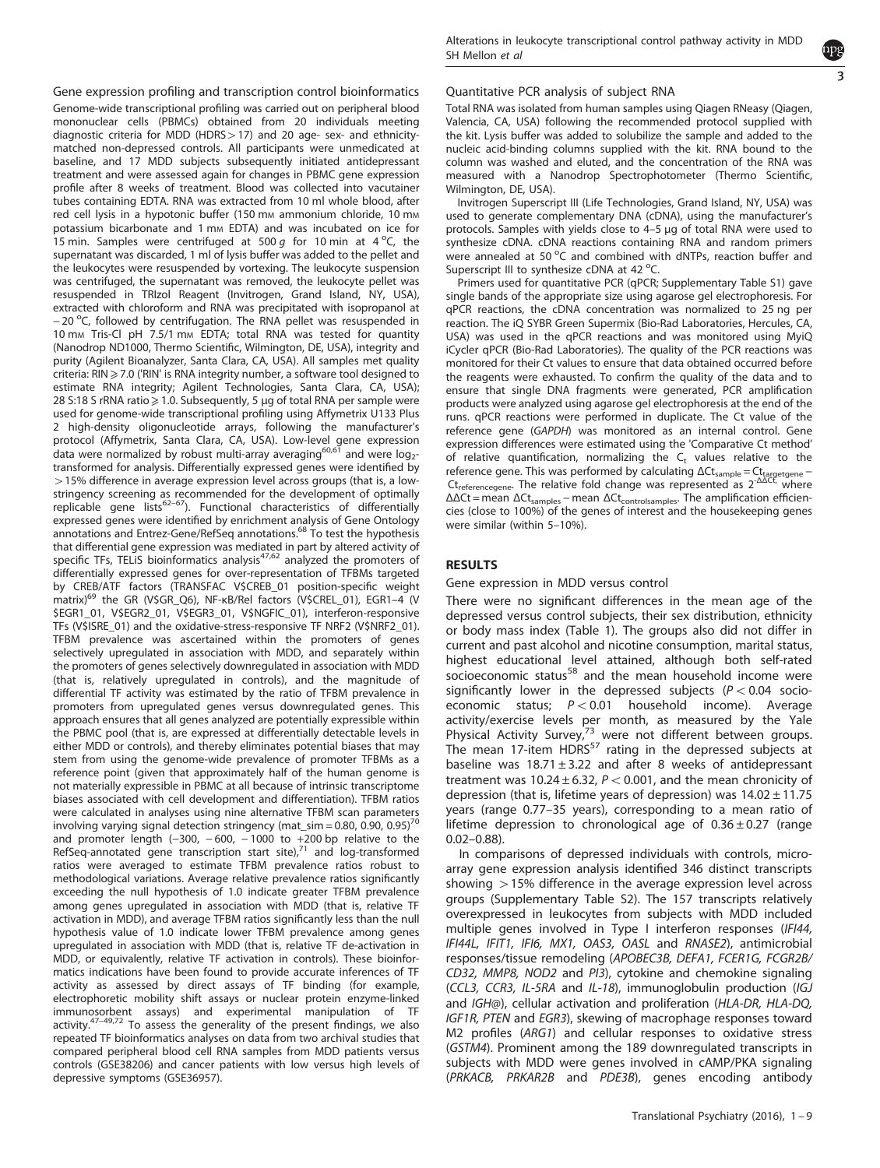Gene expression profiling and transcription control bioinformatics Genome-wide transcriptional profiling was carried out on peripheral blood mononuclear cells (PBMCs) obtained from 20 individuals meeting diagnostic criteria for MDD (HDRS > 17) and 20 age- sex- and ethnicitymatched non-depressed controls. All participants were unmedicated at baseline, and 17 MDD subjects subsequently initiated antidepressant treatment and were assessed again for changes in PBMC gene expression profile after 8 weeks of treatment. Blood was collected into vacutainer tubes containing EDTA. RNA was extracted from 10 ml whole blood, after red cell lysis in a hypotonic buffer (150 mm ammonium chloride, 10 mm potassium bicarbonate and 1 mm EDTA) and was incubated on ice for 15 min. Samples were centrifuged at 500 g for 10 min at 4 °C, the supernatant was discarded, 1 ml of lysis buffer was added to the pellet and the leukocytes were resuspended by vortexing. The leukocyte suspension was centrifuged, the supernatant was removed, the leukocyte pellet was resuspended in TRIzol Reagent (Invitrogen, Grand Island, NY, USA), extracted with chloroform and RNA was precipitated with isopropanol at −20 °C, followed by centrifugation. The RNA pellet was resuspended in 10 mm Tris-Cl pH 7.5/1 mm EDTA; total RNA was tested for quantity (Nanodrop ND1000, Thermo Scientific, Wilmington, DE, USA), integrity and purity (Agilent Bioanalyzer, Santa Clara, CA, USA). All samples met quality criteria: RIN > 7.0 ('RIN' is RNA integrity number, a software tool designed to estimate RNA integrity; Agilent Technologies, Santa Clara, CA, USA); 28 S:18 S rRNA ratio ≥ 1.0. Subsequently, 5 µg of total RNA per sample were used for genome-wide transcriptional profiling using Affymetrix U133 Plus 2 high-density oligonucleotide arrays, following the manufacturer's protocol (Affymetrix, Santa Clara, CA, USA). Low-level gene expression data were normalized by robust multi-array averaging  $60,61$  and were  $log<sub>2</sub>$ transformed for analysis. Differentially expressed genes were identified by  $>$  15% difference in average expression level across groups (that is, a lowstringency screening as recommended for the development of optimally<br>replicable gene lists<sup>62–67</sup>). Functional characteristics of differentially expressed genes were identified by enrichment analysis of Gene Ontology annotations and Entrez-Gene/RefSeq annotations.68 To test the hypothesis that differential gene expression was mediated in part by altered activity of<br>specific TFs, TELiS bioinformatics analysis<sup>47,62</sup> analyzed the promoters of differentially expressed genes for over-representation of TFBMs targeted by CREB/ATF factors (TRANSFAC V\$CREB\_01 position-specific weight matrix)<sup>69</sup> the GR (V\$GR\_Q6), NF-κB/Rel factors (V\$CREL\_01), EGR1-4 (V \$EGR1\_01, V\$EGR2\_01, V\$EGR3\_01, V\$NGFIC\_01), interferon-responsive TFs (V\$ISRE\_01) and the oxidative-stress-responsive TF NRF2 (V\$NRF2\_01). TFBM prevalence was ascertained within the promoters of genes selectively upregulated in association with MDD, and separately within the promoters of genes selectively downregulated in association with MDD (that is, relatively upregulated in controls), and the magnitude of differential TF activity was estimated by the ratio of TFBM prevalence in promoters from upregulated genes versus downregulated genes. This approach ensures that all genes analyzed are potentially expressible within the PBMC pool (that is, are expressed at differentially detectable levels in either MDD or controls), and thereby eliminates potential biases that may stem from using the genome-wide prevalence of promoter TFBMs as a reference point (given that approximately half of the human genome is not materially expressible in PBMC at all because of intrinsic transcriptome biases associated with cell development and differentiation). TFBM ratios were calculated in analyses using nine alternative TFBM scan parameters involving varying signal detection stringency (mat\_sim = 0.80, 0.90, 0.95)<sup>70</sup> and promoter length (-300, -600, -1000 to +200 bp relative to the RefSeq-annotated gene transcription start site),<sup>71</sup> and log-transformed ratios were averaged to estimate TFBM prevalence ratios robust to methodological variations. Average relative prevalence ratios significantly exceeding the null hypothesis of 1.0 indicate greater TFBM prevalence among genes upregulated in association with MDD (that is, relative TF activation in MDD), and average TFBM ratios significantly less than the null hypothesis value of 1.0 indicate lower TFBM prevalence among genes upregulated in association with MDD (that is, relative TF de-activation in MDD, or equivalently, relative TF activation in controls). These bioinformatics indications have been found to provide accurate inferences of TF activity as assessed by direct assays of TF binding (for example, electrophoretic mobility shift assays or nuclear protein enzyme-linked immunosorbent assays) and experimental manipulation of TF activity. $47-49,72$  To assess the generality of the present findings, we also repeated TF bioinformatics analyses on data from two archival studies that compared peripheral blood cell RNA samples from MDD patients versus controls (GSE38206) and cancer patients with low versus high levels of depressive symptoms (GSE36957).

3

#### Quantitative PCR analysis of subject RNA

Total RNA was isolated from human samples using Qiagen RNeasy (Qiagen, Valencia, CA, USA) following the recommended protocol supplied with the kit. Lysis buffer was added to solubilize the sample and added to the nucleic acid-binding columns supplied with the kit. RNA bound to the column was washed and eluted, and the concentration of the RNA was measured with a Nanodrop Spectrophotometer (Thermo Scientific, Wilmington, DE, USA).

Invitrogen Superscript III (Life Technologies, Grand Island, NY, USA) was used to generate complementary DNA (cDNA), using the manufacturer's protocols. Samples with yields close to 4–5 µg of total RNA were used to synthesize cDNA. cDNA reactions containing RNA and random primers were annealed at 50  $\degree$ C and combined with dNTPs, reaction buffer and Superscript III to synthesize cDNA at 42 °C.

Primers used for quantitative PCR (qPCR; Supplementary Table S1) gave single bands of the appropriate size using agarose gel electrophoresis. For qPCR reactions, the cDNA concentration was normalized to 25 ng per reaction. The iQ SYBR Green Supermix (Bio-Rad Laboratories, Hercules, CA, USA) was used in the qPCR reactions and was monitored using MyiQ iCycler qPCR (Bio-Rad Laboratories). The quality of the PCR reactions was monitored for their Ct values to ensure that data obtained occurred before the reagents were exhausted. To confirm the quality of the data and to ensure that single DNA fragments were generated, PCR amplification products were analyzed using agarose gel electrophoresis at the end of the runs. qPCR reactions were performed in duplicate. The Ct value of the reference gene (GAPDH) was monitored as an internal control. Gene expression differences were estimated using the 'Comparative Ct method' of relative quantification, normalizing the  $C_t$  values relative to the reference gene. This was performed by calculating ΔCt<sub>sample</sub> = Ct<sub>targetgene</sub> −<br>Ct<sub>referencegene</sub>. The relative fold change was represented as 2<sup>-ΔΔCt</sup>, where  $ΔΔCt = mean ΔCt<sub>samples</sub> – mean ΔCt<sub>controlsamplies</sub> – 100$  amplification efficiencies (close to 100%) of the genes of interest and the housekeeping genes were similar (within 5–10%).

# RESULTS

#### Gene expression in MDD versus control

There were no significant differences in the mean age of the depressed versus control subjects, their sex distribution, ethnicity or body mass index (Table 1). The groups also did not differ in current and past alcohol and nicotine consumption, marital status, highest educational level attained, although both self-rated socioeconomic status<sup>58</sup> and the mean household income were significantly lower in the depressed subjects ( $P < 0.04$  socioeconomic status;  $P < 0.01$  household income). Average activity/exercise levels per month, as measured by the Yale Physical Activity Survey,<sup>73</sup> were not different between groups. The mean 17-item HDRS<sup>57</sup> rating in the depressed subjects at baseline was  $18.71 \pm 3.22$  and after 8 weeks of antidepressant treatment was  $10.24 \pm 6.32$ ,  $P < 0.001$ , and the mean chronicity of depression (that is, lifetime years of depression) was  $14.02 \pm 11.75$ years (range 0.77–35 years), corresponding to a mean ratio of lifetime depression to chronological age of  $0.36 \pm 0.27$  (range 0.02–0.88).

In comparisons of depressed individuals with controls, microarray gene expression analysis identified 346 distinct transcripts showing  $>15%$  difference in the average expression level across groups (Supplementary Table S2). The 157 transcripts relatively overexpressed in leukocytes from subjects with MDD included multiple genes involved in Type I interferon responses (IFI44, IFI44L, IFIT1, IFI6, MX1, OAS3, OASL and RNASE2), antimicrobial responses/tissue remodeling (APOBEC3B, DEFA1, FCER1G, FCGR2B/ CD32, MMP8, NOD2 and PI3), cytokine and chemokine signaling (CCL3, CCR3, IL-5RA and IL-18), immunoglobulin production (IGJ and IGH@), cellular activation and proliferation (HLA-DR, HLA-DQ, IGF1R, PTEN and EGR3), skewing of macrophage responses toward M2 profiles (ARG1) and cellular responses to oxidative stress (GSTM4). Prominent among the 189 downregulated transcripts in subjects with MDD were genes involved in cAMP/PKA signaling (PRKACB, PRKAR2B and PDE3B), genes encoding antibody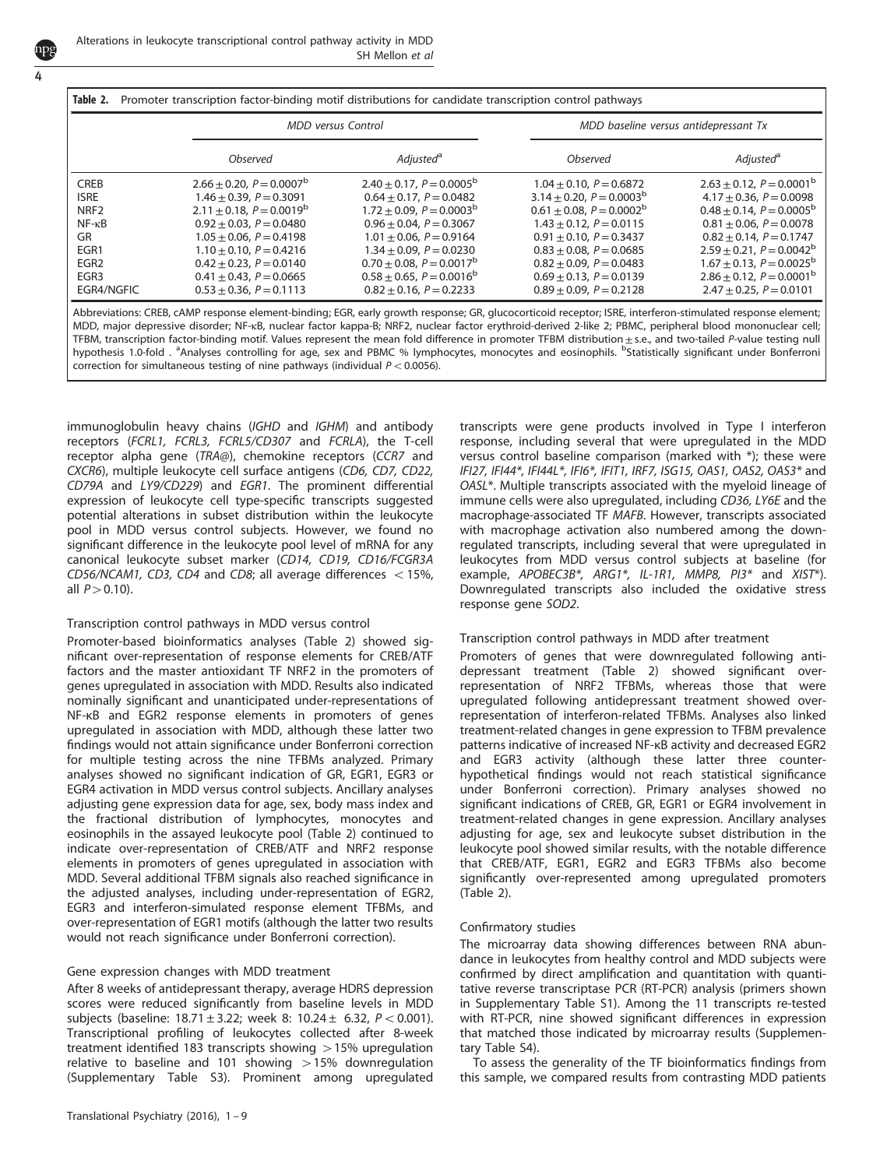| ٠ |
|---|
|   |
| ٠ |

|                  | <b>MDD</b> versus Control            |                                        | MDD baseline versus antidepressant Tx |                                        |
|------------------|--------------------------------------|----------------------------------------|---------------------------------------|----------------------------------------|
|                  | Observed                             | Adjusted <sup>a</sup>                  | Observed                              | Adjusted <sup>a</sup>                  |
| <b>CREB</b>      | $2.66 + 0.20$ , $P = 0.0007^{\circ}$ | $2.40 + 0.17$ , $P = 0.0005^{\circ}$   | $1.04 + 0.10$ , $P = 0.6872$          | $2.63 + 0.12$ , $P = 0.0001^{\circ}$   |
| <b>ISRE</b>      | $1.46 + 0.39$ , $P = 0.3091$         | $0.64 + 0.17$ , $P = 0.0482$           | $3.14 + 0.20$ , $P = 0.0003^b$        | $4.17 + 0.36$ , $P = 0.0098$           |
| NRF <sub>2</sub> | $2.11 + 0.18$ , $P = 0.0019^b$       | $1.72 \pm 0.09$ , $P = 0.0003^b$       | $0.61 + 0.08$ , $P = 0.0002^b$        | $0.48 + 0.14$ , $P = 0.0005^{\circ}$   |
| $NF - \kappa B$  | $0.92 + 0.03$ , $P = 0.0480$         | $0.96 + 0.04$ , $P = 0.3067$           | $1.43 + 0.12$ , $P = 0.0115$          | $0.81 + 0.06$ , $P = 0.0078$           |
| GR               | $1.05 + 0.06$ , $P = 0.4198$         | $1.01 + 0.06$ , $P = 0.9164$           | $0.91 + 0.10$ , $P = 0.3437$          | $0.82 + 0.14$ , $P = 0.1747$           |
| EGR1             | $1.10 \pm 0.10$ , $P = 0.4216$       | $1.34 + 0.09, P = 0.0230$              | $0.83 + 0.08$ , $P = 0.0685$          | $2.59 \pm 0.21$ , $P = 0.0042^b$       |
| EGR <sub>2</sub> | $0.42 \pm 0.23$ , $P = 0.0140$       | $0.70 \pm 0.08$ , $P = 0.0017^{\circ}$ | $0.82 + 0.09$ , $P = 0.0483$          | $1.67 \pm 0.13$ , $P = 0.0025^{\circ}$ |
| EGR <sub>3</sub> | $0.41 + 0.43$ , $P = 0.0665$         | $0.58 + 0.65$ , $P = 0.0016^b$         | $0.69 + 0.13$ , $P = 0.0139$          | $2.86 + 0.12$ , $P = 0.0001^b$         |
| EGR4/NGFIC       | $0.53 + 0.36$ , $P = 0.1113$         | $0.82 + 0.16$ , $P = 0.2233$           | $0.89 + 0.09$ , $P = 0.2128$          | $2.47 + 0.25$ , $P = 0.0101$           |

MDD, major depressive disorder; NF-κB, nuclear factor kappa-B; NRF2, nuclear factor erythroid-derived 2-like 2; PBMC, peripheral blood mononuclear cell; TFBM, transcription factor-binding motif. Values represent the mean fold difference in promoter TFBM distribution  $\pm$  s.e., and two-tailed P-value testing null hypothesis 1.0-fold . <sup>a</sup>Analyses controlling for age, sex and PBMC % lymphocytes, monocytes and eosinophils. <sup>b</sup>Statistically significant under Bonferroni correction for simultaneous testing of nine pathways (individual  $P < 0.0056$ ).

immunoglobulin heavy chains (IGHD and IGHM) and antibody receptors (FCRL1, FCRL3, FCRL5/CD307 and FCRLA), the T-cell receptor alpha gene (TRA@), chemokine receptors (CCR7 and CXCR6), multiple leukocyte cell surface antigens (CD6, CD7, CD22, CD79A and LY9/CD229) and EGR1. The prominent differential expression of leukocyte cell type-specific transcripts suggested potential alterations in subset distribution within the leukocyte pool in MDD versus control subjects. However, we found no significant difference in the leukocyte pool level of mRNA for any canonical leukocyte subset marker (CD14, CD19, CD16/FCGR3A CD56/NCAM1, CD3, CD4 and CD8; all average differences  $<$  15%, all  $P > 0.10$ ).

# Transcription control pathways in MDD versus control

Promoter-based bioinformatics analyses (Table 2) showed significant over-representation of response elements for CREB/ATF factors and the master antioxidant TF NRF2 in the promoters of genes upregulated in association with MDD. Results also indicated nominally significant and unanticipated under-representations of NF-κB and EGR2 response elements in promoters of genes upregulated in association with MDD, although these latter two findings would not attain significance under Bonferroni correction for multiple testing across the nine TFBMs analyzed. Primary analyses showed no significant indication of GR, EGR1, EGR3 or EGR4 activation in MDD versus control subjects. Ancillary analyses adjusting gene expression data for age, sex, body mass index and the fractional distribution of lymphocytes, monocytes and eosinophils in the assayed leukocyte pool (Table 2) continued to indicate over-representation of CREB/ATF and NRF2 response elements in promoters of genes upregulated in association with MDD. Several additional TFBM signals also reached significance in the adjusted analyses, including under-representation of EGR2, EGR3 and interferon-simulated response element TFBMs, and over-representation of EGR1 motifs (although the latter two results would not reach significance under Bonferroni correction).

# Gene expression changes with MDD treatment

After 8 weeks of antidepressant therapy, average HDRS depression scores were reduced significantly from baseline levels in MDD subjects (baseline:  $18.71 \pm 3.22$ ; week 8:  $10.24 \pm 6.32$ ,  $P < 0.001$ ). Transcriptional profiling of leukocytes collected after 8-week treatment identified 183 transcripts showing  $>$  15% upregulation relative to baseline and 101 showing  $>15%$  downregulation (Supplementary Table S3). Prominent among upregulated

OASL\*. Multiple transcripts associated with the myeloid lineage of immune cells were also upregulated, including CD36, LY6E and the macrophage-associated TF MAFB. However, transcripts associated with macrophage activation also numbered among the downregulated transcripts, including several that were upregulated in leukocytes from MDD versus control subjects at baseline (for example, APOBEC3B\*, ARG1\*, IL-1R1, MMP8, PI3\* and XIST\*). Downregulated transcripts also included the oxidative stress response gene SOD2. Transcription control pathways in MDD after treatment Promoters of genes that were downregulated following anti-

transcripts were gene products involved in Type I interferon response, including several that were upregulated in the MDD versus control baseline comparison (marked with \*); these were IFI27, IFI44\*, IFI44L\*, IFI6\*, IFIT1, IRF7, ISG15, OAS1, OAS2, OAS3\* and

# depressant treatment (Table 2) showed significant overrepresentation of NRF2 TFBMs, whereas those that were upregulated following antidepressant treatment showed overrepresentation of interferon-related TFBMs. Analyses also linked treatment-related changes in gene expression to TFBM prevalence patterns indicative of increased NF-κB activity and decreased EGR2 and EGR3 activity (although these latter three counterhypothetical findings would not reach statistical significance under Bonferroni correction). Primary analyses showed no significant indications of CREB, GR, EGR1 or EGR4 involvement in treatment-related changes in gene expression. Ancillary analyses adjusting for age, sex and leukocyte subset distribution in the leukocyte pool showed similar results, with the notable difference that CREB/ATF, EGR1, EGR2 and EGR3 TFBMs also become significantly over-represented among upregulated promoters (Table 2).

# Confirmatory studies

The microarray data showing differences between RNA abundance in leukocytes from healthy control and MDD subjects were confirmed by direct amplification and quantitation with quantitative reverse transcriptase PCR (RT-PCR) analysis (primers shown in Supplementary Table S1). Among the 11 transcripts re-tested with RT-PCR, nine showed significant differences in expression that matched those indicated by microarray results (Supplementary Table S4).

To assess the generality of the TF bioinformatics findings from this sample, we compared results from contrasting MDD patients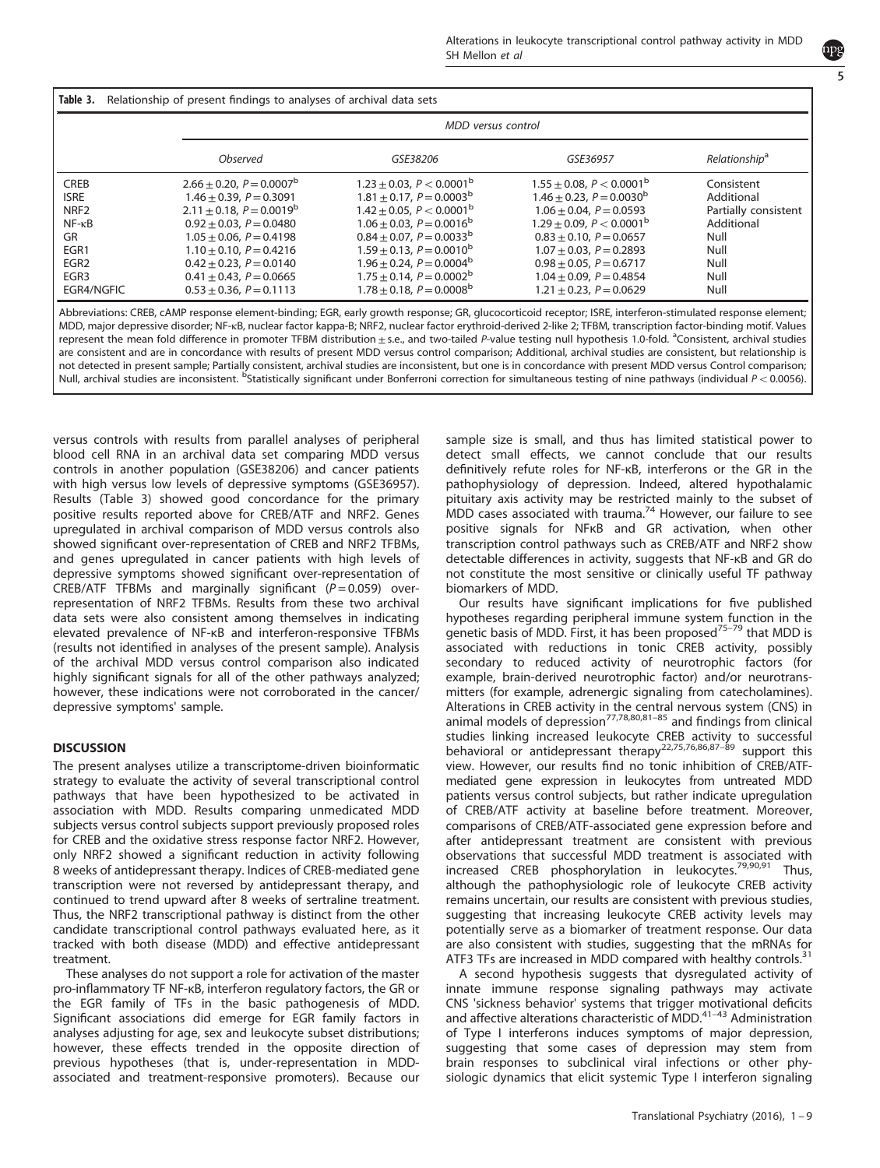| ٠ |  |
|---|--|
|   |  |

|                  | MDD versus control                                                                                                                                                                                                                                                                                                                                                                                                                                                                                                                                                                                                                                                                                                                                                                                                                                                                                                                                                                                                                        |                                        |                                      |                           |
|------------------|-------------------------------------------------------------------------------------------------------------------------------------------------------------------------------------------------------------------------------------------------------------------------------------------------------------------------------------------------------------------------------------------------------------------------------------------------------------------------------------------------------------------------------------------------------------------------------------------------------------------------------------------------------------------------------------------------------------------------------------------------------------------------------------------------------------------------------------------------------------------------------------------------------------------------------------------------------------------------------------------------------------------------------------------|----------------------------------------|--------------------------------------|---------------------------|
|                  | Observed                                                                                                                                                                                                                                                                                                                                                                                                                                                                                                                                                                                                                                                                                                                                                                                                                                                                                                                                                                                                                                  | GSE38206                               | GSE36957                             | Relationship <sup>a</sup> |
| <b>CREB</b>      | $2.66 + 0.20$ , $P = 0.0007^{\circ}$                                                                                                                                                                                                                                                                                                                                                                                                                                                                                                                                                                                                                                                                                                                                                                                                                                                                                                                                                                                                      | $1.23 + 0.03$ , $P < 0.0001^{\circ}$   | $1.55 + 0.08$ , $P < 0.0001^{\circ}$ | Consistent                |
| <b>ISRE</b>      | $1.46 + 0.39$ , $P = 0.3091$                                                                                                                                                                                                                                                                                                                                                                                                                                                                                                                                                                                                                                                                                                                                                                                                                                                                                                                                                                                                              | $1.81 + 0.17$ , $P = 0.0003^b$         | $1.46 + 0.23$ , $P = 0.0030^{\circ}$ | Additional                |
| NRF <sub>2</sub> | $2.11 + 0.18$ , $P = 0.0019^b$                                                                                                                                                                                                                                                                                                                                                                                                                                                                                                                                                                                                                                                                                                                                                                                                                                                                                                                                                                                                            | $1.42 \pm 0.05$ , $P < 0.0001^{\rm b}$ | $1.06 + 0.04$ , $P = 0.0593$         | Partially consistent      |
| $NF - \kappa B$  | $0.92 + 0.03$ , $P = 0.0480$                                                                                                                                                                                                                                                                                                                                                                                                                                                                                                                                                                                                                                                                                                                                                                                                                                                                                                                                                                                                              | $1.06 + 0.03$ , $P = 0.0016^{\circ}$   | $1.29 + 0.09$ , $P < 0.0001^{\circ}$ | Additional                |
| GR               | $1.05 + 0.06$ , $P = 0.4198$                                                                                                                                                                                                                                                                                                                                                                                                                                                                                                                                                                                                                                                                                                                                                                                                                                                                                                                                                                                                              | $0.84 + 0.07$ , $P = 0.0033^{b}$       | $0.83 + 0.10$ , $P = 0.0657$         | Null                      |
| EGR1             | $1.10 + 0.10$ , $P = 0.4216$                                                                                                                                                                                                                                                                                                                                                                                                                                                                                                                                                                                                                                                                                                                                                                                                                                                                                                                                                                                                              | $1.59 + 0.13$ , $P = 0.0010^{b}$       | $1.07 + 0.03$ , $P = 0.2893$         | Null                      |
| EGR <sub>2</sub> | $0.42 + 0.23$ , $P = 0.0140$                                                                                                                                                                                                                                                                                                                                                                                                                                                                                                                                                                                                                                                                                                                                                                                                                                                                                                                                                                                                              | $1.96 + 0.24$ , $P = 0.0004^b$         | $0.98 \pm 0.05$ , $P = 0.6717$       | Null                      |
| EGR <sub>3</sub> | $0.41 + 0.43$ , $P = 0.0665$                                                                                                                                                                                                                                                                                                                                                                                                                                                                                                                                                                                                                                                                                                                                                                                                                                                                                                                                                                                                              | $1.75 + 0.14$ , $P = 0.0002^b$         | $1.04 + 0.09$ , $P = 0.4854$         | Null                      |
| EGR4/NGFIC       | $0.53 + 0.36$ , $P = 0.1113$                                                                                                                                                                                                                                                                                                                                                                                                                                                                                                                                                                                                                                                                                                                                                                                                                                                                                                                                                                                                              | $1.78 + 0.18$ , $P = 0.0008^b$         | $1.21 + 0.23$ , $P = 0.0629$         | Null                      |
|                  | Abbreviations: CREB, cAMP response element-binding; EGR, early growth response; GR, glucocorticoid receptor; ISRE, interferon-stimulated response element;<br>MDD, major depressive disorder; NF-KB, nuclear factor kappa-B; NRF2, nuclear factor erythroid-derived 2-like 2; TFBM, transcription factor-binding motif. Values<br>represent the mean fold difference in promoter TFBM distribution $\pm$ s.e., and two-tailed P-value testing null hypothesis 1.0-fold. <sup>a</sup> Consistent, archival studies<br>are consistent and are in concordance with results of present MDD versus control comparison; Additional, archival studies are consistent, but relationship is<br>not detected in present sample; Partially consistent, archival studies are inconsistent, but one is in concordance with present MDD versus Control comparison;<br>Null, archival studies are inconsistent. <sup>b</sup> Statistically significant under Bonferroni correction for simultaneous testing of nine pathways (individual $P < 0.0056$ ). |                                        |                                      |                           |

versus controls with results from parallel analyses of peripheral blood cell RNA in an archival data set comparing MDD versus controls in another population (GSE38206) and cancer patients with high versus low levels of depressive symptoms (GSE36957). Results (Table 3) showed good concordance for the primary positive results reported above for CREB/ATF and NRF2. Genes upregulated in archival comparison of MDD versus controls also showed significant over-representation of CREB and NRF2 TFBMs, and genes upregulated in cancer patients with high levels of depressive symptoms showed significant over-representation of CREB/ATF TFBMs and marginally significant  $(P = 0.059)$  overrepresentation of NRF2 TFBMs. Results from these two archival data sets were also consistent among themselves in indicating elevated prevalence of NF-κB and interferon-responsive TFBMs (results not identified in analyses of the present sample). Analysis of the archival MDD versus control comparison also indicated highly significant signals for all of the other pathways analyzed; however, these indications were not corroborated in the cancer/ depressive symptoms' sample.

Table 3. Relationship of present findings to analyses of archival data sets

# **DISCUSSION**

The present analyses utilize a transcriptome-driven bioinformatic strategy to evaluate the activity of several transcriptional control pathways that have been hypothesized to be activated in association with MDD. Results comparing unmedicated MDD subjects versus control subjects support previously proposed roles for CREB and the oxidative stress response factor NRF2. However, only NRF2 showed a significant reduction in activity following 8 weeks of antidepressant therapy. Indices of CREB-mediated gene transcription were not reversed by antidepressant therapy, and continued to trend upward after 8 weeks of sertraline treatment. Thus, the NRF2 transcriptional pathway is distinct from the other candidate transcriptional control pathways evaluated here, as it tracked with both disease (MDD) and effective antidepressant treatment.

These analyses do not support a role for activation of the master pro-inflammatory TF NF-κB, interferon regulatory factors, the GR or the EGR family of TFs in the basic pathogenesis of MDD. Significant associations did emerge for EGR family factors in analyses adjusting for age, sex and leukocyte subset distributions; however, these effects trended in the opposite direction of previous hypotheses (that is, under-representation in MDDassociated and treatment-responsive promoters). Because our sample size is small, and thus has limited statistical power to detect small effects, we cannot conclude that our results definitively refute roles for NF-κB, interferons or the GR in the pathophysiology of depression. Indeed, altered hypothalamic pituitary axis activity may be restricted mainly to the subset of MDD cases associated with trauma.<sup>74</sup> However, our failure to see positive signals for NFκB and GR activation, when other transcription control pathways such as CREB/ATF and NRF2 show detectable differences in activity, suggests that NF-κB and GR do not constitute the most sensitive or clinically useful TF pathway biomarkers of MDD.

Our results have significant implications for five published hypotheses regarding peripheral immune system function in the genetic basis of MDD. First, it has been proposed<sup>75-79</sup> that MDD is associated with reductions in tonic CREB activity, possibly secondary to reduced activity of neurotrophic factors (for example, brain-derived neurotrophic factor) and/or neurotransmitters (for example, adrenergic signaling from catecholamines). Alterations in CREB activity in the central nervous system (CNS) in animal models of depression<sup>77,78,80,81-85</sup> and findings from clinical studies linking increased leukocyte CREB activity to successful behavioral or antidepressant therapy22,75,76,86,87–<sup>89</sup> support this view. However, our results find no tonic inhibition of CREB/ATFmediated gene expression in leukocytes from untreated MDD patients versus control subjects, but rather indicate upregulation of CREB/ATF activity at baseline before treatment. Moreover, comparisons of CREB/ATF-associated gene expression before and after antidepressant treatment are consistent with previous observations that successful MDD treatment is associated with increased CREB phosphorylation in leukocytes.<sup>79,90,91</sup> Thus, although the pathophysiologic role of leukocyte CREB activity remains uncertain, our results are consistent with previous studies, suggesting that increasing leukocyte CREB activity levels may potentially serve as a biomarker of treatment response. Our data are also consistent with studies, suggesting that the mRNAs for ATF3 TFs are increased in MDD compared with healthy controls.<sup>31</sup>

A second hypothesis suggests that dysregulated activity of innate immune response signaling pathways may activate CNS 'sickness behavior' systems that trigger motivational deficits and affective alterations characteristic of MDD.<sup>41-43</sup> Administration of Type I interferons induces symptoms of major depression, suggesting that some cases of depression may stem from brain responses to subclinical viral infections or other physiologic dynamics that elicit systemic Type I interferon signaling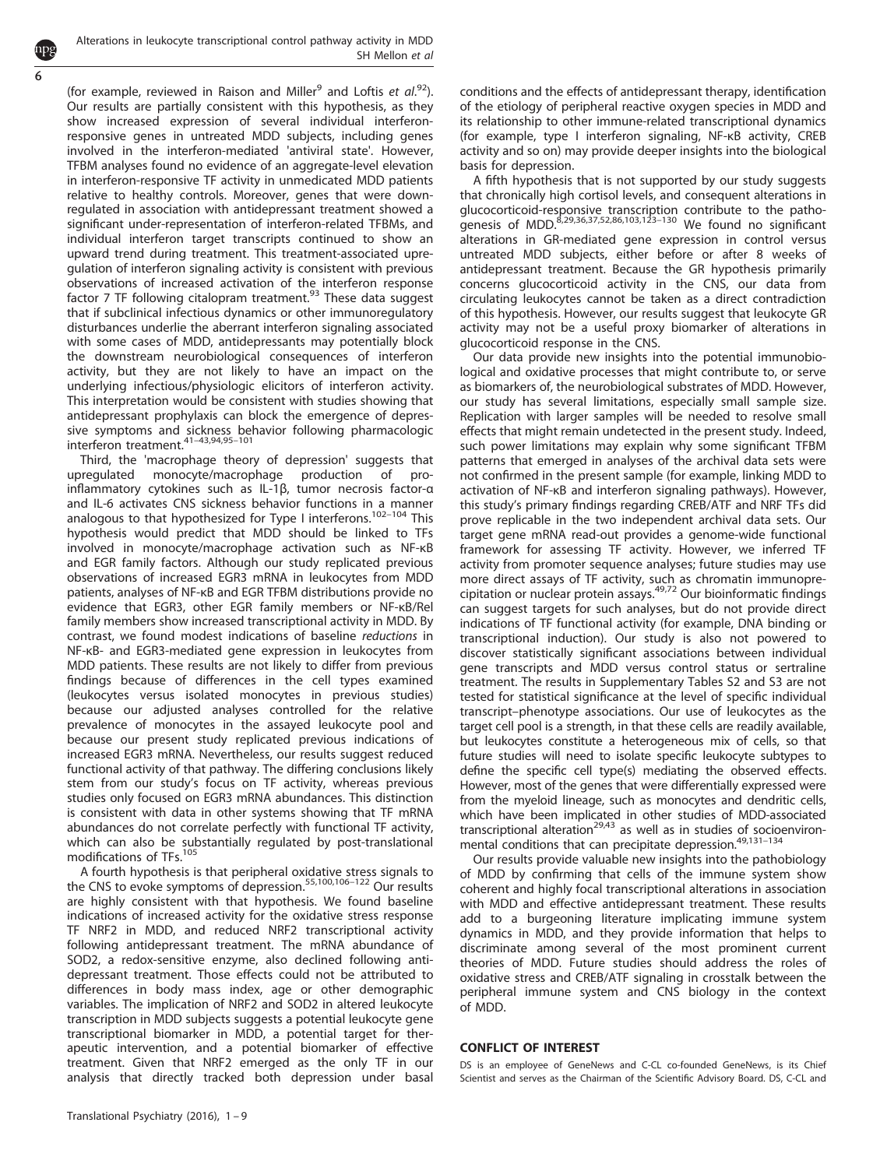6

(for example, reviewed in Raison and Miller<sup>9</sup> and Loftis et  $al.^{92}$ ). Our results are partially consistent with this hypothesis, as they show increased expression of several individual interferonresponsive genes in untreated MDD subjects, including genes involved in the interferon-mediated 'antiviral state'. However, TFBM analyses found no evidence of an aggregate-level elevation in interferon-responsive TF activity in unmedicated MDD patients relative to healthy controls. Moreover, genes that were downregulated in association with antidepressant treatment showed a significant under-representation of interferon-related TFBMs, and individual interferon target transcripts continued to show an upward trend during treatment. This treatment-associated upregulation of interferon signaling activity is consistent with previous observations of increased activation of the interferon response factor 7 TF following citalopram treatment. $93$  These data suggest that if subclinical infectious dynamics or other immunoregulatory disturbances underlie the aberrant interferon signaling associated with some cases of MDD, antidepressants may potentially block the downstream neurobiological consequences of interferon activity, but they are not likely to have an impact on the underlying infectious/physiologic elicitors of interferon activity. This interpretation would be consistent with studies showing that antidepressant prophylaxis can block the emergence of depressive symptoms and sickness behavior following pharmacologic<br>interferon treatment.<sup>41–43,94,95–101</sup>

Third, the 'macrophage theory of depression' suggests that upregulated monocyte/macrophage production of proinflammatory cytokines such as IL-1β, tumor necrosis factor-α and IL-6 activates CNS sickness behavior functions in a manner analogous to that hypothesized for Type I interferons.102–<sup>104</sup> This hypothesis would predict that MDD should be linked to TFs involved in monocyte/macrophage activation such as NF-κB and EGR family factors. Although our study replicated previous observations of increased EGR3 mRNA in leukocytes from MDD patients, analyses of NF-κB and EGR TFBM distributions provide no evidence that EGR3, other EGR family members or NF-κB/Rel family members show increased transcriptional activity in MDD. By contrast, we found modest indications of baseline reductions in NF-κB- and EGR3-mediated gene expression in leukocytes from MDD patients. These results are not likely to differ from previous findings because of differences in the cell types examined (leukocytes versus isolated monocytes in previous studies) because our adjusted analyses controlled for the relative prevalence of monocytes in the assayed leukocyte pool and because our present study replicated previous indications of increased EGR3 mRNA. Nevertheless, our results suggest reduced functional activity of that pathway. The differing conclusions likely stem from our study's focus on TF activity, whereas previous studies only focused on EGR3 mRNA abundances. This distinction is consistent with data in other systems showing that TF mRNA abundances do not correlate perfectly with functional TF activity, which can also be substantially regulated by post-translational modifications of TFs.<sup>105</sup>

A fourth hypothesis is that peripheral oxidative stress signals to the CNS to evoke symptoms of depression.55,100,106–<sup>122</sup> Our results are highly consistent with that hypothesis. We found baseline indications of increased activity for the oxidative stress response TF NRF2 in MDD, and reduced NRF2 transcriptional activity following antidepressant treatment. The mRNA abundance of SOD2, a redox-sensitive enzyme, also declined following antidepressant treatment. Those effects could not be attributed to differences in body mass index, age or other demographic variables. The implication of NRF2 and SOD2 in altered leukocyte transcription in MDD subjects suggests a potential leukocyte gene transcriptional biomarker in MDD, a potential target for therapeutic intervention, and a potential biomarker of effective treatment. Given that NRF2 emerged as the only TF in our analysis that directly tracked both depression under basal conditions and the effects of antidepressant therapy, identification of the etiology of peripheral reactive oxygen species in MDD and its relationship to other immune-related transcriptional dynamics (for example, type I interferon signaling, NF-κB activity, CREB activity and so on) may provide deeper insights into the biological basis for depression.

A fifth hypothesis that is not supported by our study suggests that chronically high cortisol levels, and consequent alterations in glucocorticoid-responsive transcription contribute to the patho-<br>genesis of MDD.<sup>8,29,36,37,52,86,103,123–130</sup> We found no significant alterations in GR-mediated gene expression in control versus untreated MDD subjects, either before or after 8 weeks of antidepressant treatment. Because the GR hypothesis primarily concerns glucocorticoid activity in the CNS, our data from circulating leukocytes cannot be taken as a direct contradiction of this hypothesis. However, our results suggest that leukocyte GR activity may not be a useful proxy biomarker of alterations in glucocorticoid response in the CNS.

Our data provide new insights into the potential immunobiological and oxidative processes that might contribute to, or serve as biomarkers of, the neurobiological substrates of MDD. However, our study has several limitations, especially small sample size. Replication with larger samples will be needed to resolve small effects that might remain undetected in the present study. Indeed, such power limitations may explain why some significant TFBM patterns that emerged in analyses of the archival data sets were not confirmed in the present sample (for example, linking MDD to activation of NF-κB and interferon signaling pathways). However, this study's primary findings regarding CREB/ATF and NRF TFs did prove replicable in the two independent archival data sets. Our target gene mRNA read-out provides a genome-wide functional framework for assessing TF activity. However, we inferred TF activity from promoter sequence analyses; future studies may use more direct assays of TF activity, such as chromatin immunoprecipitation or nuclear protein assays.49,72 Our bioinformatic findings can suggest targets for such analyses, but do not provide direct indications of TF functional activity (for example, DNA binding or transcriptional induction). Our study is also not powered to discover statistically significant associations between individual gene transcripts and MDD versus control status or sertraline treatment. The results in Supplementary Tables S2 and S3 are not tested for statistical significance at the level of specific individual transcript–phenotype associations. Our use of leukocytes as the target cell pool is a strength, in that these cells are readily available, but leukocytes constitute a heterogeneous mix of cells, so that future studies will need to isolate specific leukocyte subtypes to define the specific cell type(s) mediating the observed effects. However, most of the genes that were differentially expressed were from the myeloid lineage, such as monocytes and dendritic cells, which have been implicated in other studies of MDD-associated transcriptional alteration<sup>29,43</sup> as well as in studies of socioenvironmental conditions that can precipitate depression.<sup>49,131-134</sup>

Our results provide valuable new insights into the pathobiology of MDD by confirming that cells of the immune system show coherent and highly focal transcriptional alterations in association with MDD and effective antidepressant treatment. These results add to a burgeoning literature implicating immune system dynamics in MDD, and they provide information that helps to discriminate among several of the most prominent current theories of MDD. Future studies should address the roles of oxidative stress and CREB/ATF signaling in crosstalk between the peripheral immune system and CNS biology in the context of MDD.

# CONFLICT OF INTEREST

DS is an employee of GeneNews and C-CL co-founded GeneNews, is its Chief Scientist and serves as the Chairman of the Scientific Advisory Board. DS, C-CL and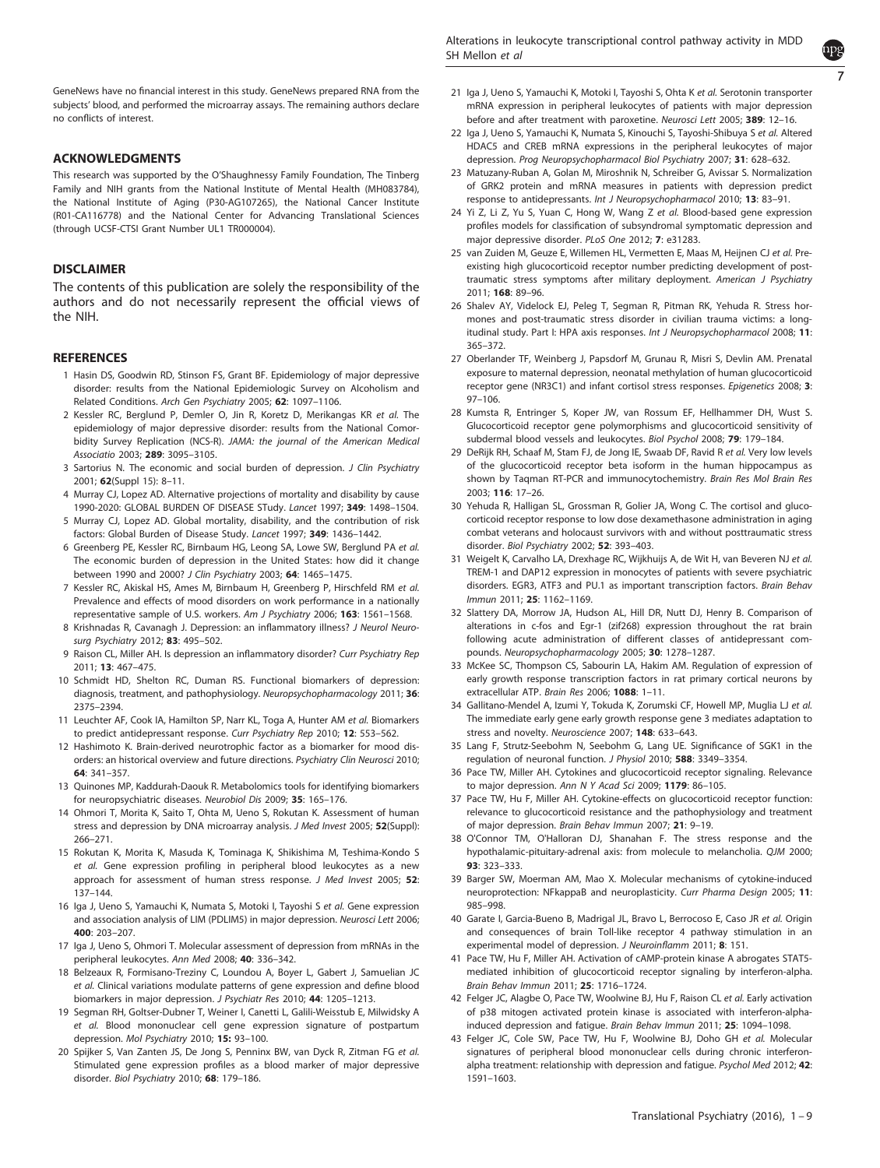

GeneNews have no financial interest in this study. GeneNews prepared RNA from the subjects' blood, and performed the microarray assays. The remaining authors declare no conflicts of interest.

#### ACKNOWLEDGMENTS

This research was supported by the O'Shaughnessy Family Foundation, The Tinberg Family and NIH grants from the National Institute of Mental Health (MH083784), the National Institute of Aging (P30-AG107265), the National Cancer Institute (R01-CA116778) and the National Center for Advancing Translational Sciences (through UCSF-CTSI Grant Number UL1 TR000004).

#### DISCLAIMER

The contents of this publication are solely the responsibility of the authors and do not necessarily represent the official views of the NIH.

#### **REFERENCES**

- 1 Hasin DS, Goodwin RD, Stinson FS, Grant BF. Epidemiology of major depressive disorder: results from the National Epidemiologic Survey on Alcoholism and Related Conditions. Arch Gen Psychiatry 2005; 62: 1097–1106.
- 2 Kessler RC, Berglund P, Demler O, Jin R, Koretz D, Merikangas KR et al. The epidemiology of major depressive disorder: results from the National Comorbidity Survey Replication (NCS-R). JAMA: the journal of the American Medical Associatio 2003; 289: 3095–3105.
- 3 Sartorius N. The economic and social burden of depression. J Clin Psychiatry 2001; 62(Suppl 15): 8–11.
- 4 Murray CJ, Lopez AD. Alternative projections of mortality and disability by cause 1990-2020: GLOBAL BURDEN OF DISEASE STudy. Lancet 1997; 349: 1498–1504.
- 5 Murray CJ, Lopez AD. Global mortality, disability, and the contribution of risk factors: Global Burden of Disease Study. Lancet 1997; 349: 1436–1442.
- 6 Greenberg PE, Kessler RC, Birnbaum HG, Leong SA, Lowe SW, Berglund PA et al. The economic burden of depression in the United States: how did it change between 1990 and 2000? J Clin Psychiatry 2003; 64: 1465–1475.
- 7 Kessler RC, Akiskal HS, Ames M, Birnbaum H, Greenberg P, Hirschfeld RM et al. Prevalence and effects of mood disorders on work performance in a nationally representative sample of U.S. workers. Am J Psychiatry 2006; 163: 1561-1568.
- 8 Krishnadas R, Cavanagh J. Depression: an inflammatory illness? J Neurol Neurosurg Psychiatry 2012; 83: 495–502.
- 9 Raison CL, Miller AH. Is depression an inflammatory disorder? Curr Psychiatry Rep 2011; 13: 467–475.
- 10 Schmidt HD, Shelton RC, Duman RS. Functional biomarkers of depression: diagnosis, treatment, and pathophysiology. Neuropsychopharmacology 2011; 36: 2375–2394.
- 11 Leuchter AF, Cook IA, Hamilton SP, Narr KL, Toga A, Hunter AM et al. Biomarkers to predict antidepressant response. Curr Psychiatry Rep 2010; 12: 553–562.
- 12 Hashimoto K. Brain-derived neurotrophic factor as a biomarker for mood disorders: an historical overview and future directions. Psychiatry Clin Neurosci 2010; 64: 341–357.
- 13 Quinones MP, Kaddurah-Daouk R. Metabolomics tools for identifying biomarkers for neuropsychiatric diseases. Neurobiol Dis 2009; 35: 165–176.
- 14 Ohmori T, Morita K, Saito T, Ohta M, Ueno S, Rokutan K. Assessment of human stress and depression by DNA microarray analysis. J Med Invest 2005; 52(Suppl): 266–271.
- 15 Rokutan K, Morita K, Masuda K, Tominaga K, Shikishima M, Teshima-Kondo S et al. Gene expression profiling in peripheral blood leukocytes as a new approach for assessment of human stress response. J Med Invest 2005; 52: 137–144.
- 16 Iga J, Ueno S, Yamauchi K, Numata S, Motoki I, Tayoshi S et al. Gene expression and association analysis of LIM (PDLIM5) in major depression. Neurosci Lett 2006; 400: 203–207.
- 17 Iga J, Ueno S, Ohmori T. Molecular assessment of depression from mRNAs in the peripheral leukocytes. Ann Med 2008; 40: 336–342.
- 18 Belzeaux R, Formisano-Treziny C, Loundou A, Boyer L, Gabert J, Samuelian JC et al. Clinical variations modulate patterns of gene expression and define blood biomarkers in major depression. J Psychiatr Res 2010; 44: 1205–1213.
- 19 Segman RH, Goltser-Dubner T, Weiner I, Canetti L, Galili-Weisstub E, Milwidsky A et al. Blood mononuclear cell gene expression signature of postpartum depression. Mol Psychiatry 2010; 15: 93–100.
- 20 Spijker S, Van Zanten JS, De Jong S, Penninx BW, van Dyck R, Zitman FG et al. Stimulated gene expression profiles as a blood marker of major depressive disorder. Biol Psychiatry 2010; 68: 179-186.
- 21 Iga J, Ueno S, Yamauchi K, Motoki I, Tayoshi S, Ohta K et al. Serotonin transporter mRNA expression in peripheral leukocytes of patients with major depression before and after treatment with paroxetine. Neurosci Lett 2005; 389: 12-16.
- 22 Iga J, Ueno S, Yamauchi K, Numata S, Kinouchi S, Tayoshi-Shibuya S et al. Altered HDAC5 and CREB mRNA expressions in the peripheral leukocytes of major depression. Prog Neuropsychopharmacol Biol Psychiatry 2007; 31: 628–632.
- 23 Matuzany-Ruban A, Golan M, Miroshnik N, Schreiber G, Avissar S. Normalization of GRK2 protein and mRNA measures in patients with depression predict response to antidepressants. Int J Neuropsychopharmacol 2010; 13: 83–91.
- 24 Yi Z, Li Z, Yu S, Yuan C, Hong W, Wang Z et al. Blood-based gene expression profiles models for classification of subsyndromal symptomatic depression and major depressive disorder. PLoS One 2012: **7**: e31283.
- 25 van Zuiden M, Geuze E, Willemen HL, Vermetten E, Maas M, Heijnen CJ et al. Preexisting high glucocorticoid receptor number predicting development of posttraumatic stress symptoms after military deployment. American J Psychiatry 2011; 168: 89–96.
- 26 Shalev AY, Videlock EJ, Peleg T, Segman R, Pitman RK, Yehuda R. Stress hormones and post-traumatic stress disorder in civilian trauma victims: a longitudinal study. Part I: HPA axis responses. Int J Neuropsychopharmacol 2008; 11: 365–372.
- 27 Oberlander TF, Weinberg J, Papsdorf M, Grunau R, Misri S, Devlin AM. Prenatal exposure to maternal depression, neonatal methylation of human glucocorticoid receptor gene (NR3C1) and infant cortisol stress responses. Epigenetics 2008; 3: 97–106.
- 28 Kumsta R, Entringer S, Koper JW, van Rossum EF, Hellhammer DH, Wust S. Glucocorticoid receptor gene polymorphisms and glucocorticoid sensitivity of subdermal blood vessels and leukocytes. Biol Psychol 2008; 79: 179–184.
- 29 DeRijk RH, Schaaf M, Stam FJ, de Jong IE, Swaab DF, Ravid R et al. Very low levels of the glucocorticoid receptor beta isoform in the human hippocampus as shown by Taqman RT-PCR and immunocytochemistry. Brain Res Mol Brain Res 2003; 116: 17–26.
- 30 Yehuda R, Halligan SL, Grossman R, Golier JA, Wong C. The cortisol and glucocorticoid receptor response to low dose dexamethasone administration in aging combat veterans and holocaust survivors with and without posttraumatic stress disorder. Biol Psychiatry 2002; 52: 393–403.
- 31 Weigelt K, Carvalho LA, Drexhage RC, Wijkhuijs A, de Wit H, van Beveren NJ et al. TREM-1 and DAP12 expression in monocytes of patients with severe psychiatric disorders. EGR3, ATF3 and PU.1 as important transcription factors. Brain Behav Immun 2011; 25: 1162–1169.
- 32 Slattery DA, Morrow JA, Hudson AL, Hill DR, Nutt DJ, Henry B. Comparison of alterations in c-fos and Egr-1 (zif268) expression throughout the rat brain following acute administration of different classes of antidepressant compounds. Neuropsychopharmacology 2005; 30: 1278–1287.
- 33 McKee SC, Thompson CS, Sabourin LA, Hakim AM. Regulation of expression of early growth response transcription factors in rat primary cortical neurons by extracellular ATP. Brain Res 2006; 1088: 1–11.
- 34 Gallitano-Mendel A, Izumi Y, Tokuda K, Zorumski CF, Howell MP, Muglia LJ et al. The immediate early gene early growth response gene 3 mediates adaptation to stress and novelty. Neuroscience 2007; 148: 633–643.
- 35 Lang F, Strutz-Seebohm N, Seebohm G, Lang UE. Significance of SGK1 in the regulation of neuronal function. J Physiol 2010; 588: 3349–3354.
- 36 Pace TW, Miller AH. Cytokines and glucocorticoid receptor signaling. Relevance to major depression. Ann N Y Acad Sci 2009; 1179: 86–105.
- 37 Pace TW, Hu F, Miller AH. Cytokine-effects on glucocorticoid receptor function: relevance to glucocorticoid resistance and the pathophysiology and treatment of major depression. Brain Behav Immun 2007; 21: 9–19.
- 38 O'Connor TM, O'Halloran DJ, Shanahan F. The stress response and the hypothalamic-pituitary-adrenal axis: from molecule to melancholia. QJM 2000; 93: 323–333.
- 39 Barger SW, Moerman AM, Mao X. Molecular mechanisms of cytokine-induced neuroprotection: NFkappaB and neuroplasticity. Curr Pharma Design 2005; 11: 985–998.
- 40 Garate I, Garcia-Bueno B, Madrigal JL, Bravo L, Berrocoso E, Caso JR et al. Origin and consequences of brain Toll-like receptor 4 pathway stimulation in an experimental model of depression. J Neuroinflamm 2011; 8: 151.
- 41 Pace TW, Hu F, Miller AH. Activation of cAMP-protein kinase A abrogates STAT5 mediated inhibition of glucocorticoid receptor signaling by interferon-alpha. Brain Behav Immun 2011; 25: 1716–1724.
- 42 Felger JC, Alagbe O, Pace TW, Woolwine BJ, Hu F, Raison CL et al. Early activation of p38 mitogen activated protein kinase is associated with interferon-alphainduced depression and fatigue. Brain Behav Immun 2011; 25: 1094–1098.
- 43 Felger JC, Cole SW, Pace TW, Hu F, Woolwine BJ, Doho GH et al. Molecular signatures of peripheral blood mononuclear cells during chronic interferonalpha treatment: relationship with depression and fatigue. Psychol Med 2012; 42: 1591–1603.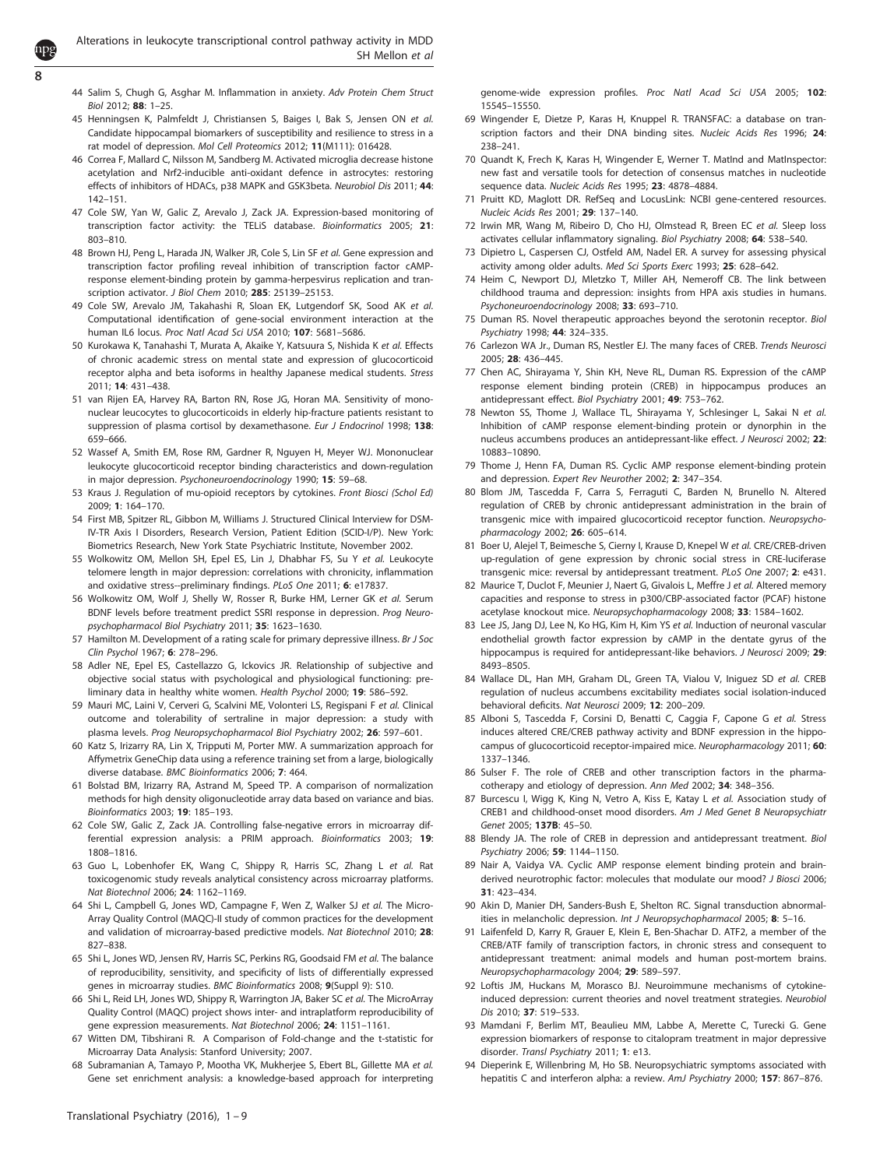- 8
- 44 Salim S, Chugh G, Asghar M. Inflammation in anxiety. Adv Protein Chem Struct Biol 2012; 88: 1–25.
- 45 Henningsen K, Palmfeldt J, Christiansen S, Baiges I, Bak S, Jensen ON et al. Candidate hippocampal biomarkers of susceptibility and resilience to stress in a rat model of depression. Mol Cell Proteomics 2012; 11(M111): 016428.
- 46 Correa F, Mallard C, Nilsson M, Sandberg M. Activated microglia decrease histone acetylation and Nrf2-inducible anti-oxidant defence in astrocytes: restoring effects of inhibitors of HDACs, p38 MAPK and GSK3beta. Neurobiol Dis 2011; 44: 142–151.
- 47 Cole SW, Yan W, Galic Z, Arevalo J, Zack JA. Expression-based monitoring of transcription factor activity: the TELiS database. Bioinformatics 2005; 21: 803–810.
- 48 Brown HJ, Peng L, Harada JN, Walker JR, Cole S, Lin SF et al. Gene expression and transcription factor profiling reveal inhibition of transcription factor cAMPresponse element-binding protein by gamma-herpesvirus replication and transcription activator. *J Biol Chem* 2010: **285**: 25139-25153.
- 49 Cole SW, Arevalo JM, Takahashi R, Sloan EK, Lutgendorf SK, Sood AK et al. Computational identification of gene-social environment interaction at the human IL6 locus. Proc Natl Acad Sci USA 2010; 107: 5681–5686.
- 50 Kurokawa K, Tanahashi T, Murata A, Akaike Y, Katsuura S, Nishida K et al. Effects of chronic academic stress on mental state and expression of glucocorticoid receptor alpha and beta isoforms in healthy Japanese medical students. Stress 2011; 14: 431–438.
- 51 van Rijen EA, Harvey RA, Barton RN, Rose JG, Horan MA. Sensitivity of mononuclear leucocytes to glucocorticoids in elderly hip-fracture patients resistant to suppression of plasma cortisol by dexamethasone. Eur J Endocrinol 1998; 138: 659–666.
- 52 Wassef A, Smith EM, Rose RM, Gardner R, Nguyen H, Meyer WJ. Mononuclear leukocyte glucocorticoid receptor binding characteristics and down-regulation in major depression. Psychoneuroendocrinology 1990; 15: 59–68.
- 53 Kraus J. Regulation of mu-opioid receptors by cytokines. Front Biosci (Schol Ed) 2009; 1: 164–170.
- 54 First MB, Spitzer RL, Gibbon M, Williams J. Structured Clinical Interview for DSM-IV-TR Axis I Disorders, Research Version, Patient Edition (SCID-I/P). New York: Biometrics Research, New York State Psychiatric Institute, November 2002.
- 55 Wolkowitz OM, Mellon SH, Epel ES, Lin J, Dhabhar FS, Su Y et al. Leukocyte telomere length in major depression: correlations with chronicity, inflammation and oxidative stress--preliminary findings. PLoS One 2011; 6: e17837.
- 56 Wolkowitz OM, Wolf J, Shelly W, Rosser R, Burke HM, Lerner GK et al. Serum BDNF levels before treatment predict SSRI response in depression. Prog Neuropsychopharmacol Biol Psychiatry 2011; 35: 1623–1630.
- 57 Hamilton M. Development of a rating scale for primary depressive illness. Br J Soc Clin Psychol 1967; 6: 278–296.
- 58 Adler NE, Epel ES, Castellazzo G, Ickovics JR. Relationship of subjective and objective social status with psychological and physiological functioning: preliminary data in healthy white women. Health Psychol 2000; 19: 586–592.
- 59 Mauri MC, Laini V, Cerveri G, Scalvini ME, Volonteri LS, Regispani F et al. Clinical outcome and tolerability of sertraline in major depression: a study with plasma levels. Prog Neuropsychopharmacol Biol Psychiatry 2002; 26: 597–601.
- 60 Katz S, Irizarry RA, Lin X, Tripputi M, Porter MW. A summarization approach for Affymetrix GeneChip data using a reference training set from a large, biologically diverse database. BMC Bioinformatics 2006; 7: 464.
- 61 Bolstad BM, Irizarry RA, Astrand M, Speed TP. A comparison of normalization methods for high density oligonucleotide array data based on variance and bias. Bioinformatics 2003; 19: 185–193.
- 62 Cole SW, Galic Z, Zack JA. Controlling false-negative errors in microarray differential expression analysis: a PRIM approach. Bioinformatics 2003; 19: 1808–1816.
- 63 Guo L, Lobenhofer EK, Wang C, Shippy R, Harris SC, Zhang L et al. Rat toxicogenomic study reveals analytical consistency across microarray platforms. Nat Biotechnol 2006; 24: 1162–1169.
- 64 Shi L, Campbell G, Jones WD, Campagne F, Wen Z, Walker SJ et al. The Micro-Array Quality Control (MAQC)-II study of common practices for the development and validation of microarray-based predictive models. Nat Biotechnol 2010; 28: 827–838.
- 65 Shi L, Jones WD, Jensen RV, Harris SC, Perkins RG, Goodsaid FM et al. The balance of reproducibility, sensitivity, and specificity of lists of differentially expressed genes in microarray studies. BMC Bioinformatics 2008; 9(Suppl 9): S10.
- 66 Shi L, Reid LH, Jones WD, Shippy R, Warrington JA, Baker SC et al. The MicroArray Quality Control (MAQC) project shows inter- and intraplatform reproducibility of gene expression measurements. Nat Biotechnol 2006; 24: 1151–1161.
- 67 Witten DM, Tibshirani R. A Comparison of Fold-change and the t-statistic for Microarray Data Analysis: Stanford University; 2007.
- 68 Subramanian A, Tamayo P, Mootha VK, Mukherjee S, Ebert BL, Gillette MA et al. Gene set enrichment analysis: a knowledge-based approach for interpreting

genome-wide expression profiles. Proc Natl Acad Sci USA 2005; 102: 15545–15550.

- 69 Wingender E, Dietze P, Karas H, Knuppel R. TRANSFAC: a database on transcription factors and their DNA binding sites. Nucleic Acids Res 1996; 24: 238–241.
- 70 Quandt K, Frech K, Karas H, Wingender E, Werner T. MatInd and MatInspector: new fast and versatile tools for detection of consensus matches in nucleotide sequence data. Nucleic Acids Res 1995; 23: 4878–4884.
- 71 Pruitt KD, Maglott DR. RefSeq and LocusLink: NCBI gene-centered resources. Nucleic Acids Res 2001; 29: 137–140.
- 72 Irwin MR, Wang M, Ribeiro D, Cho HJ, Olmstead R, Breen EC et al. Sleep loss activates cellular inflammatory signaling. Biol Psychiatry 2008; 64: 538-540.
- 73 Dipietro L, Caspersen CJ, Ostfeld AM, Nadel ER. A survey for assessing physical activity among older adults. Med Sci Sports Exerc 1993; 25: 628–642.
- 74 Heim C, Newport DJ, Mletzko T, Miller AH, Nemeroff CB. The link between childhood trauma and depression: insights from HPA axis studies in humans. Psychoneuroendocrinology 2008; 33: 693–710.
- 75 Duman RS. Novel therapeutic approaches beyond the serotonin receptor. Biol Psychiatry 1998; 44: 324–335.
- 76 Carlezon WA Jr., Duman RS, Nestler EJ. The many faces of CREB. Trends Neurosci 2005; 28: 436–445.
- 77 Chen AC, Shirayama Y, Shin KH, Neve RL, Duman RS. Expression of the cAMP response element binding protein (CREB) in hippocampus produces an antidepressant effect. Biol Psychiatry 2001; 49: 753–762.
- 78 Newton SS, Thome J, Wallace TL, Shirayama Y, Schlesinger L, Sakai N et al. Inhibition of cAMP response element-binding protein or dynorphin in the nucleus accumbens produces an antidepressant-like effect. J Neurosci 2002; 22: 10883–10890.
- 79 Thome J, Henn FA, Duman RS. Cyclic AMP response element-binding protein and depression. Expert Rev Neurother 2002; 2: 347–354.
- 80 Blom JM, Tascedda F, Carra S, Ferraguti C, Barden N, Brunello N. Altered regulation of CREB by chronic antidepressant administration in the brain of transgenic mice with impaired glucocorticoid receptor function. Neuropsychopharmacology 2002; 26: 605–614.
- 81 Boer U, Alejel T, Beimesche S, Cierny I, Krause D, Knepel W et al. CRE/CREB-driven up-regulation of gene expression by chronic social stress in CRE-luciferase transgenic mice: reversal by antidepressant treatment. PLoS One 2007; 2: e431.
- 82 Maurice T, Duclot F, Meunier J, Naert G, Givalois L, Meffre J et al. Altered memory capacities and response to stress in p300/CBP-associated factor (PCAF) histone acetylase knockout mice. Neuropsychopharmacology 2008; 33: 1584–1602.
- 83 Lee JS, Jang DJ, Lee N, Ko HG, Kim H, Kim YS et al. Induction of neuronal vascular endothelial growth factor expression by cAMP in the dentate gyrus of the hippocampus is required for antidepressant-like behaviors. J Neurosci 2009; 29: 8493–8505.
- 84 Wallace DL, Han MH, Graham DL, Green TA, Vialou V, Iniquez SD et al. CREB regulation of nucleus accumbens excitability mediates social isolation-induced behavioral deficits. Nat Neurosci 2009; 12: 200–209.
- 85 Alboni S, Tascedda F, Corsini D, Benatti C, Caggia F, Capone G et al. Stress induces altered CRE/CREB pathway activity and BDNF expression in the hippocampus of glucocorticoid receptor-impaired mice. Neuropharmacology 2011; 60: 1337–1346.
- 86 Sulser F. The role of CREB and other transcription factors in the pharmacotherapy and etiology of depression. Ann Med 2002; 34: 348–356.
- 87 Burcescu I, Wigg K, King N, Vetro A, Kiss E, Katay L et al. Association study of CREB1 and childhood-onset mood disorders. Am J Med Genet B Neuropsychiatr Genet 2005; 137B: 45–50.
- 88 Blendy JA. The role of CREB in depression and antidepressant treatment. Biol Psychiatry 2006; 59: 1144–1150.
- 89 Nair A, Vaidya VA. Cyclic AMP response element binding protein and brainderived neurotrophic factor: molecules that modulate our mood? J Biosci 2006;  $31:423-434$ .
- 90 Akin D, Manier DH, Sanders-Bush E, Shelton RC. Signal transduction abnormalities in melancholic depression. Int J Neuropsychopharmacol 2005; 8: 5-16.
- 91 Laifenfeld D, Karry R, Grauer E, Klein E, Ben-Shachar D. ATF2, a member of the CREB/ATF family of transcription factors, in chronic stress and consequent to antidepressant treatment: animal models and human post-mortem brains. Neuropsychopharmacology 2004; 29: 589–597.
- 92 Loftis JM, Huckans M, Morasco BJ. Neuroimmune mechanisms of cytokineinduced depression: current theories and novel treatment strategies. Neurobiol Dis 2010; 37: 519–533.
- 93 Mamdani F, Berlim MT, Beaulieu MM, Labbe A, Merette C, Turecki G. Gene expression biomarkers of response to citalopram treatment in major depressive disorder. Transl Psychiatry 2011; 1: e13.
- 94 Dieperink E, Willenbring M, Ho SB. Neuropsychiatric symptoms associated with hepatitis C and interferon alpha: a review. AmJ Psychiatry 2000; 157: 867-876.